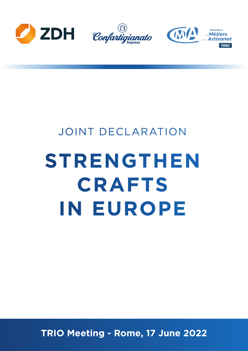





# JOINT DECLARATION **STRENGTHEN CRAFTS IN EUROPE**

**TRIO Meeting - Rome, 17 June 2022**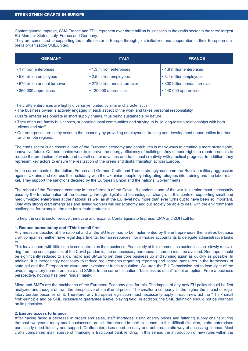Confartigianato Imprese, CMA France and ZDH represent over three million businesses in the crafts sector in the three largest EU-Member States: Italy, France and Germany.

They are committed to supporting the crafts sector in Europe through joint initiatives and cooperation in their European umbrella organization SMEUnited.

| <b>GERMANY</b>                | <b>ITALY</b>                  | <b>FRANCE</b>                 |
|-------------------------------|-------------------------------|-------------------------------|
| • 1 million enterprises       | • 1.3 million enterprises     | • 1.8 million enterprises     |
| • 5.6 million employees       | • 2.5 million employees       | • 3.1 million employees       |
| • 670 billion annual turnover | • 273 billion annual turnover | • 300 billion annual turnover |
| • 360,000 apprentices         | • 120.000 apprentices         | • 140.000 apprentices         |

The crafts enterprises are highly diverse yet united by similar characteristics:

- **•** The business owner is actively engaged in each aspect of the work and takes personal responsibility.
- **•** Crafts enterprises operate in short supply chains, thus being sustainable by nature.
- **•** They often are family businesses, supporting local communities and striving to build long-lasting relationships with both clients and staff.
- **•** Our enterprises are a key asset to the economy by providing employment, training and development opportunities in urban and remote regions.

The crafts sector is an essential part of the European economy and contributes in many ways to creating a more sustainable, innovative future. Our companies work to improve the energy efficiency of buildings, they support rights to repair products to reduce the production of waste and overall combine values and traditional creativity with practical progress. In addition, they represent key actors to ensure the realization of the green and digital transition across Europe.

In the current context, the Italian, French and German Crafts and Trades strongly condemn the Russian military aggression against Ukraine and express their solidarity with the Ukrainian people by integrating refugees into training and the labor market. They support the sanctions decided by the European Union and the national Governments.

The reboot of the European economy in the aftermath of the Covid 19 pandemic and of the war in Ukraine must necessarily pass by the transformation of the economy, through digital and technological change. In this context, supporting small and medium-sized enterprises at the national as well as at the EU level now more than ever turns out to have been so important. Only with strong craft enterprises and skilled workers will our economy and our society be able to deal with the environmental challenges, for example, the one for climate protection.

To help the crafts sector recover, innovate and expand, Confartigianato Imprese, CMA and ZDH call for:

### **1. Reduce bureaucracy and "Think small first"**

Any measure decided at the national and at the EU level has to be implemented by the entrepreneurs themselves because craft companies neither have legal departments, human resources, nor in-house accountants to delegate administrative tasks to.

This leaves them with little time to concentrate on their business. Particularly at this moment, as businesses are slowly recovering from the consequences of the Covid pandemic, the unnecessary bureaucratic burden must be avoided. Red tape should be significantly reduced to allow micro and SMEs to get their core business up and running again as quickly as possible. In addition, it is increasingly necessary to reduce requirements regarding reporting and control measures in the framework of state aid and the European structural and investment funds regulation. We urge the EU Commission not to lose sight of the overall regulatory burden on micro and SMEs. In the current situation, "business as usual" is not an option. From a business perspective, nothing has been "usual" lately.

Micro and SMEs are the backbones of the European Economy also for this. The impact of any new EU policy should be first analyzed and thought of from the perspective of small enterprises. The smaller a company is, the higher the impact of regulatory burden becomes on it. Therefore, any European legislation must necessarily apply in each new act the "Think small first"-principle and be SME inclusive to guarantee a level playing field. In addition, the SME definition should not be changed on its principles.

## **2. Ensure access to finance**

After having faced a decrease in orders and sales, staff shortages, rising energy prices and faltering supply chains during the past two years, many small businesses are still threatened in their existence. In this difficult situation, crafts enterprises particularly need liquidity and support. Crafts enterprises need an easy and unbureaucratic way of accessing finance. Most crafts companies' main source of financing is traditional bank lending. In this sense, the introduction of new rules within the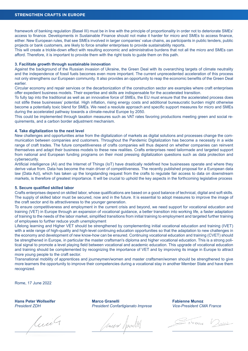framework of banking regulation (Basel III) must be in line with the principle of proportionality in order not to deteriorate SMEs' access to finance. Developments in Sustainable Finance should not make it harder for micro and SMEs to access finance, either. New European rules, that see SMEs involved in larger companies' value chains, as participants in public tenders, public projects or bank customers, are likely to force smaller enterprises to provide sustainability reports.

This will create a trickle-down effect with resulting economic and administrative burdens that not all the micro and SMEs can afford. Therefore, it is important to provide them with the right tools to guide them on this path.

# **3. Facilitate growth through sustainable innovation**

Against the background of the Russian invasion of Ukraine, the Green Deal with its overarching targets of climate neutrality and the independence of fossil fuels becomes even more important. The current unprecedented acceleration of this process not only strengthens our European community. It also provides an opportunity to reap the economic benefits of the Green Deal earlier.

Circular economy and repair services or the decarbonization of the construction sector are examples where craft enterprises offer expedient business models. Their expertise and skills are indispensable for the accelerated transition.

To fully tap into the traditional as well as an innovative force of SMEs, the EU must ensure that the accelerated process does not stifle these businesses' potential. High inflation, rising energy costs and additional bureaucratic burden might otherwise become a potentially toxic blend for SMEs. We need a resolute approach and specific support measures for micro and SMEs during the accelerated pathway towards a climate-neutral Europe by 2050.

This could be implemented through taxation measures such as VAT rates favoring productions meeting green and social requirements, and a carbon border adjustment mechanism.

# **4. Take digitalization to the next level**

New challenges and opportunities arise from the digitalization of markets as digital solutions and processes change the communication between companies and customers. Throughout the Pandemic Digitalization has become a necessity in a wide range of craft trades. The future competitiveness of crafts companies will thus depend on whether companies can reinvent themselves and adapt their business models to these new realities. Crafts enterprises need tailormade and targeted support from national and European funding programs on their most pressing digitalization questions such as data protection and cybersecurity.

Artificial intelligence (AI) and the Internet of Things (IoT) have drastically redefined how businesses operate and where they derive value from. Data has become the main driver of competitiveness. The recently published proposal for a European data law (Data Act), which has taken up the longstanding request from the crafts to regulate fair access to data on downstream markets, is therefore of greatest importance. It will be crucial to uphold the key aspects in the forthcoming legislative process

### **5. Secure qualified skilled labor**

Crafts enterprises depend on skilled labor, whose qualifications are based on a good balance of technical, digital and soft skills. The supply of skilled labor must be secured, now and in the future. It is essential to adopt measures to improve the image of the craft sector and its attractiveness to the younger generation.

To ensure competitiveness and employment in the current crisis and beyond, we need support for vocational education and training (VET) in Europe through an expansion of vocational guidance, a better transition into working life, a faster adaptation of training to the needs of the labor market, simplified transitions from initial training to employment and targeted further training of employees to further reduce youth unemployment

Lifelong learning and Higher VET should be strengthened by complementing initial vocational education and training (IVET) with a wide range of high-quality and high-level continuing education opportunities so that the adaptation to new challenges in the economy and development of new know-how can be ensured. Continuing vocational education and training (CVET) should be strengthened in Europe, in particular the master craftsman's diploma and higher vocational education. This is a strong political signal to promote a level playing field between vocational and academic education. This upgrade of vocational education and training should be complemented by recognizing the importance of VET and by improving its image in Europe to attract more young people to the craft sector.

Transnational mobility of apprentices and journeymen/women and master craftsmen/women should be strengthened to give more learners the opportunity to improve their competencies during a vocational stay in another Member State and have them recognized.

Rome, 17 June 2022

**Hans Peter Wollseifer** *President ZDH*

luit

**Marco Granelli** *President Confartigianato Imprese*

Seuro Aponil

**Fabienne Munoz** *Vice-President CMA France*



ZNOS